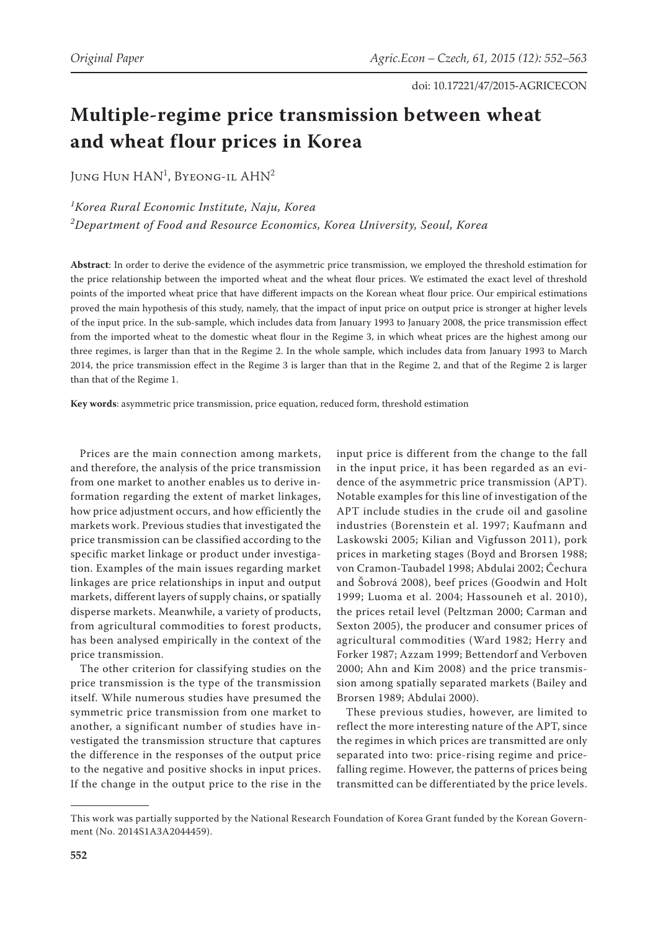# **Multiple-regime price transmission between wheat and wheat flour prices in Korea**

Jung Hun  $\mathrm{HAN^1}$ , Byeong-il  $\mathrm{AHN^2}$ 

*1 Korea Rural Economic Institute, Naju, Korea 2 Department of Food and Resource Economics, Korea University, Seoul, Korea*

**Abstract**: In order to derive the evidence of the asymmetric price transmission, we employed the threshold estimation for the price relationship between the imported wheat and the wheat flour prices. We estimated the exact level of threshold points of the imported wheat price that have different impacts on the Korean wheat flour price. Our empirical estimations proved the main hypothesis of this study, namely, that the impact of input price on output price is stronger at higher levels of the input price. In the sub-sample, which includes data from January 1993 to January 2008, the price transmission effect from the imported wheat to the domestic wheat flour in the Regime 3, in which wheat prices are the highest among our three regimes, is larger than that in the Regime 2. In the whole sample, which includes data from January 1993 to March 2014, the price transmission effect in the Regime 3 is larger than that in the Regime 2, and that of the Regime 2 is larger than that of the Regime 1.

**Key words**: asymmetric price transmission, price equation, reduced form, threshold estimation

Prices are the main connection among markets, and therefore, the analysis of the price transmission from one market to another enables us to derive information regarding the extent of market linkages, how price adjustment occurs, and how efficiently the markets work. Previous studies that investigated the price transmission can be classified according to the specific market linkage or product under investigation. Examples of the main issues regarding market linkages are price relationships in input and output markets, different layers of supply chains, or spatially disperse markets. Meanwhile, a variety of products, from agricultural commodities to forest products, has been analysed empirically in the context of the price transmission.

The other criterion for classifying studies on the price transmission is the type of the transmission itself. While numerous studies have presumed the symmetric price transmission from one market to another, a significant number of studies have investigated the transmission structure that captures the difference in the responses of the output price to the negative and positive shocks in input prices. If the change in the output price to the rise in the input price is different from the change to the fall in the input price, it has been regarded as an evidence of the asymmetric price transmission (APT). Notable examples for this line of investigation of the APT include studies in the crude oil and gasoline industries (Borenstein et al. 1997; Kaufmann and Laskowski 2005; Kilian and Vigfusson 2011), pork prices in marketing stages (Boyd and Brorsen 1988; von Cramon-Taubadel 1998; Abdulai 2002; Čechura and Šobrová 2008), beef prices (Goodwin and Holt 1999; Luoma et al. 2004; Hassouneh et al. 2010), the prices retail level (Peltzman 2000; Carman and Sexton 2005), the producer and consumer prices of agricultural commodities (Ward 1982; Herry and Forker 1987; Azzam 1999; Bettendorf and Verboven 2000; Ahn and Kim 2008) and the price transmission among spatially separated markets (Bailey and Brorsen 1989; Abdulai 2000).

These previous studies, however, are limited to reflect the more interesting nature of the APT, since the regimes in which prices are transmitted are only separated into two: price-rising regime and pricefalling regime. However, the patterns of prices being transmitted can be differentiated by the price levels.

This work was partially supported by the National Research Foundation of Korea Grant funded by the Korean Government (No. 2014S1A3A2044459).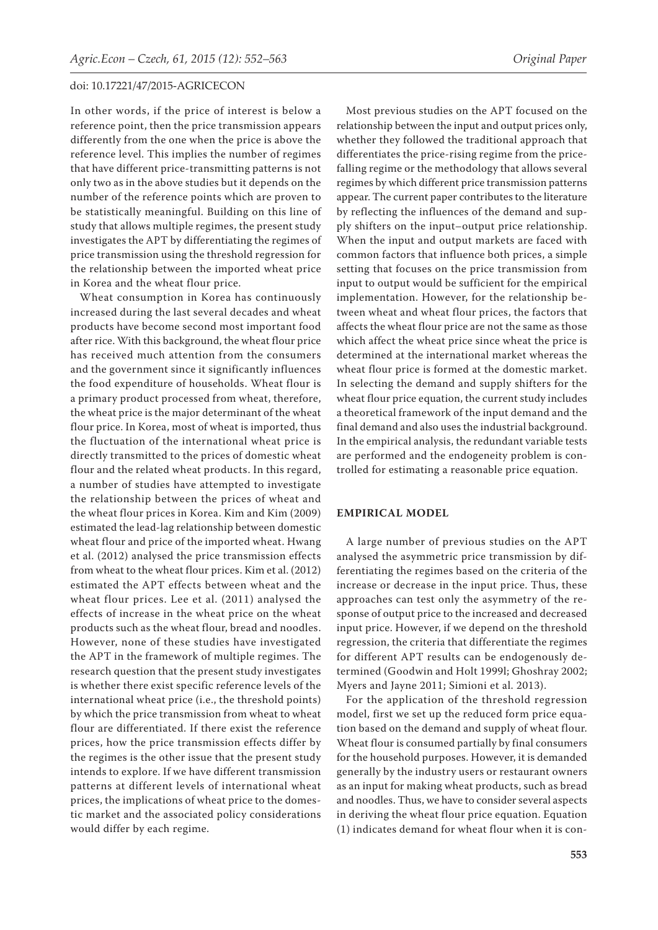In other words, if the price of interest is below a reference point, then the price transmission appears differently from the one when the price is above the reference level. This implies the number of regimes that have different price-transmitting patterns is not only two as in the above studies but it depends on the number of the reference points which are proven to be statistically meaningful. Building on this line of study that allows multiple regimes, the present study investigates the APT by differentiating the regimes of price transmission using the threshold regression for the relationship between the imported wheat price in Korea and the wheat flour price.

Wheat consumption in Korea has continuously increased during the last several decades and wheat products have become second most important food after rice. With this background, the wheat flour price has received much attention from the consumers and the government since it significantly influences the food expenditure of households. Wheat flour is a primary product processed from wheat, therefore, the wheat price is the major determinant of the wheat flour price. In Korea, most of wheat is imported, thus the fluctuation of the international wheat price is directly transmitted to the prices of domestic wheat flour and the related wheat products. In this regard, a number of studies have attempted to investigate the relationship between the prices of wheat and the wheat flour prices in Korea. Kim and Kim (2009) estimated the lead-lag relationship between domestic wheat flour and price of the imported wheat. Hwang et al. (2012) analysed the price transmission effects from wheat to the wheat flour prices. Kim et al. (2012) estimated the APT effects between wheat and the wheat flour prices. Lee et al. (2011) analysed the effects of increase in the wheat price on the wheat products such as the wheat flour, bread and noodles. However, none of these studies have investigated the APT in the framework of multiple regimes. The research question that the present study investigates is whether there exist specific reference levels of the international wheat price (i.e., the threshold points) by which the price transmission from wheat to wheat flour are differentiated. If there exist the reference prices, how the price transmission effects differ by the regimes is the other issue that the present study intends to explore. If we have different transmission patterns at different levels of international wheat prices, the implications of wheat price to the domestic market and the associated policy considerations would differ by each regime.

Most previous studies on the APT focused on the relationship between the input and output prices only, whether they followed the traditional approach that differentiates the price-rising regime from the pricefalling regime or the methodology that allows several regimes by which different price transmission patterns appear. The current paper contributes to the literature by reflecting the influences of the demand and supply shifters on the input–output price relationship. When the input and output markets are faced with common factors that influence both prices, a simple setting that focuses on the price transmission from input to output would be sufficient for the empirical implementation. However, for the relationship between wheat and wheat flour prices, the factors that affects the wheat flour price are not the same as those which affect the wheat price since wheat the price is determined at the international market whereas the wheat flour price is formed at the domestic market. In selecting the demand and supply shifters for the wheat flour price equation, the current study includes a theoretical framework of the input demand and the final demand and also uses the industrial background. In the empirical analysis, the redundant variable tests are performed and the endogeneity problem is controlled for estimating a reasonable price equation.

# **EMPIRICAL MODEL**

A large number of previous studies on the APT analysed the asymmetric price transmission by differentiating the regimes based on the criteria of the increase or decrease in the input price. Thus, these approaches can test only the asymmetry of the response of output price to the increased and decreased input price. However, if we depend on the threshold regression, the criteria that differentiate the regimes for different APT results can be endogenously determined (Goodwin and Holt 1999l; Ghoshray 2002; Myers and Jayne 2011; Simioni et al. 2013).

For the application of the threshold regression model, first we set up the reduced form price equation based on the demand and supply of wheat flour. Wheat flour is consumed partially by final consumers for the household purposes. However, it is demanded generally by the industry users or restaurant owners as an input for making wheat products, such as bread and noodles. Thus, we have to consider several aspects in deriving the wheat flour price equation. Equation (1) indicates demand for wheat flour when it is con-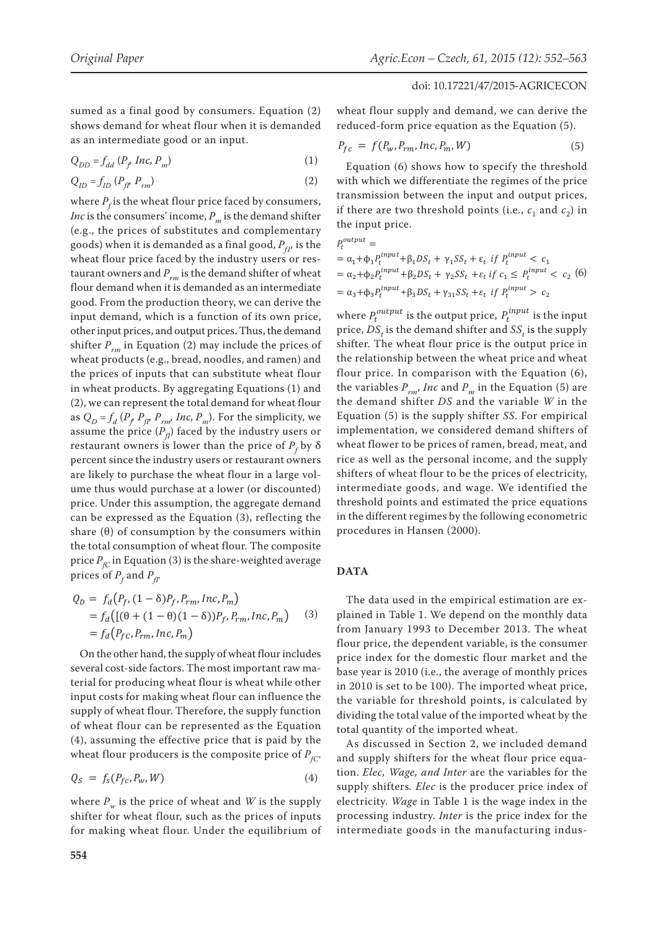sumed as a final good by consumers. Equation (2) shows demand for wheat flour when it is demanded as an intermediate good or an input.

$$
Q_{DD} = f_{dd} \left( P_f \text{ Inc}, P_m \right) \tag{1}
$$

$$
Q_{ID} = f_{ID} \left( P_{fP} \ P_{rm} \right) \tag{2}
$$

where  $P_f$  is the wheat flour price faced by consumers, *Inc* is the consumers' income,  $P_m$  is the demand shifter (e.g., the prices of substitutes and complementary goods) when it is demanded as a final good,  $P_{fp}$  is the wheat flour price faced by the industry users or restaurant owners and  $P_{rm}$  is the demand shifter of wheat flour demand when it is demanded as an intermediate good. From the production theory, we can derive the input demand, which is a function of its own price, other input prices, and output prices. Thus, the demand shifter  $P_{rm}$  in Equation (2) may include the prices of wheat products (e.g., bread, noodles, and ramen) and the prices of inputs that can substitute wheat flour in wheat products. By aggregating Equations (1) and (2), we can represent the total demand for wheat flour as  $Q_D = f_d (P_f P_{ff} P_{rm} P_{rm} P_{cm}$ . For the simplicity, we assume the price  $(P_f)$  faced by the industry users or restaurant owners is lower than the price of  $P_f$  by  $\delta$ percent since the industry users or restaurant owners are likely to purchase the wheat flour in a large volume thus would purchase at a lower (or discounted) price. Under this assumption, the aggregate demand can be expressed as the Equation (3), reflecting the share  $(\theta)$  of consumption by the consumers within the total consumption of wheat flour. The composite price  $P_{fC}$  in Equation (3) is the share-weighted average prices of  $P_f$  and  $P_{ff}$ .

$$
Q_D = f_d(P_f, (1 - \delta)P_f, P_{rm}, Inc, P_m)
$$
  
=  $f_d([(\theta + (1 - \theta)(1 - \delta))P_f, P_{rm}, Inc, P_m)$  (3)  
=  $f_d(P_{fc}, P_{rm}, Inc, P_m)$ 

On the other hand, the supply of wheat flour includes several cost-side factors. The most important raw material for producing wheat flour is wheat while other input costs for making wheat flour can influence the supply of wheat flour. Therefore, the supply function of wheat flour can be represented as the Equation (4), assuming the effective price that is paid by the wheat flour producers is the composite price of  $P_{\text{fC}}$ .

$$
Q_S = f_S(P_{fc}, P_w, W) \tag{4}
$$

where  $P_w$  is the price of wheat and *W* is the supply shifter for wheat flour, such as the prices of inputs for making wheat flour. Under the equilibrium of wheat flour supply and demand, we can derive the reduced-form price equation as the Equation (5).

$$
P_{fc} = f(P_w, P_{rm}, Inc, P_m, W) \tag{5}
$$

Equation (6) shows how to specify the threshold with which we differentiate the regimes of the price transmission between the input and output prices, if there are two threshold points (i.e.,  $c_1$  and  $c_2$ ) in the input price.

$$
P_t^{output} =
$$
  
=  $\alpha_1 + \phi_1 P_t^{input} + \beta_1 DS_t + \gamma_1 SS_t + \varepsilon_t$  if  $P_t^{input} < c_1$   
=  $\alpha_2 + \phi_2 P_t^{input} + \beta_2 DS_t + \gamma_2 SS_t + \varepsilon_t$  if  $c_1 \le P_t^{input} < c_2$  (6)  
=  $\alpha_3 + \phi_3 P_t^{input} + \beta_3 DS_t + \gamma_{31} SS_t + \varepsilon_t$  if  $P_t^{input} > c_2$ 

where  $P_t^{output}$  is the output price,  $P_t^{input}$  is the input price,  $DS_t$  is the demand shifter and  $SS_t$  is the supply shifter. The wheat flour price is the output price in the relationship between the wheat price and wheat flour price. In comparison with the Equation (6), the variables  $P_{rm}$ *. Inc* and  $P_{m}$  in the Equation (5) are the demand shifter *DS* and the variable *W* in the Equation (5) is the supply shifter *SS*. For empirical implementation, we considered demand shifters of wheat flower to be prices of ramen, bread, meat, and rice as well as the personal income, and the supply shifters of wheat flour to be the prices of electricity, intermediate goods, and wage. We identified the threshold points and estimated the price equations in the different regimes by the following econometric procedures in Hansen (2000).

# **DATA**

The data used in the empirical estimation are explained in Table 1. We depend on the monthly data from January 1993 to December 2013. The wheat flour price, the dependent variable, is the consumer price index for the domestic flour market and the base year is 2010 (i.e., the average of monthly prices in 2010 is set to be 100). The imported wheat price, the variable for threshold points, is calculated by dividing the total value of the imported wheat by the total quantity of the imported wheat.

As discussed in Section 2, we included demand and supply shifters for the wheat flour price equation. *Elec, Wage, and Inter* are the variables for the supply shifters*. Elec* is the producer price index of electricity. *Wage* in Table 1 is the wage index in the processing industry. *Inter* is the price index for the intermediate goods in the manufacturing indus-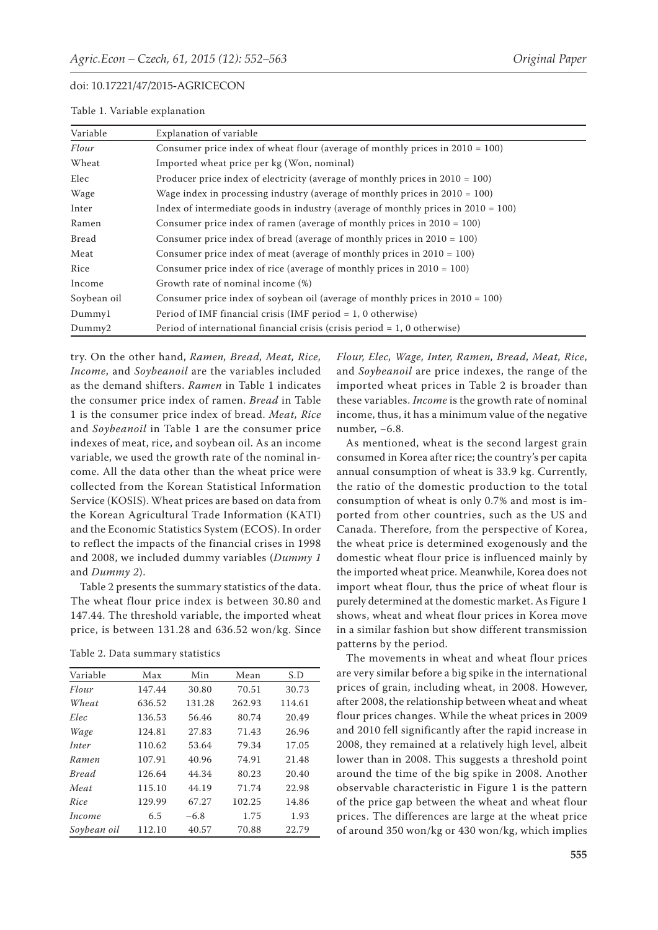| Variable     | Explanation of variable                                                              |
|--------------|--------------------------------------------------------------------------------------|
| Flour        | Consumer price index of wheat flour (average of monthly prices in 2010 = 100)        |
| Wheat        | Imported wheat price per kg (Won, nominal)                                           |
| Elec         | Producer price index of electricity (average of monthly prices in $2010 = 100$ )     |
| Wage         | Wage index in processing industry (average of monthly prices in $2010 = 100$ )       |
| Inter        | Index of intermediate goods in industry (average of monthly prices in $2010 = 100$ ) |
| Ramen        | Consumer price index of ramen (average of monthly prices in $2010 = 100$ )           |
| <b>Bread</b> | Consumer price index of bread (average of monthly prices in $2010 = 100$ )           |
| Meat         | Consumer price index of meat (average of monthly prices in $2010 = 100$ )            |
| Rice         | Consumer price index of rice (average of monthly prices in $2010 = 100$ )            |
| Income       | Growth rate of nominal income (%)                                                    |
| Soybean oil  | Consumer price index of soybean oil (average of monthly prices in $2010 = 100$ )     |
| Dummy1       | Period of IMF financial crisis (IMF period $= 1$ , 0 otherwise)                      |
| Dummy2       | Period of international financial crisis (crisis period $= 1$ , 0 otherwise)         |

try. On the other hand, *Ramen, Bread, Meat, Rice, Income*, and *Soybeanoil* are the variables included as the demand shifters. *Ramen* in Table 1 indicates the consumer price index of ramen. *Bread* in Table 1 is the consumer price index of bread. *Meat, Rice* and *Soybeanoil* in Table 1 are the consumer price indexes of meat, rice, and soybean oil. As an income variable, we used the growth rate of the nominal income. All the data other than the wheat price were collected from the Korean Statistical Information Service (KOSIS). Wheat prices are based on data from the Korean Agricultural Trade Information (KATI) and the Economic Statistics System (ECOS). In order to reflect the impacts of the financial crises in 1998 and 2008, we included dummy variables (*Dummy 1* and *Dummy 2*).

Table 2 presents the summary statistics of the data. The wheat flour price index is between 30.80 and 147.44. The threshold variable, the imported wheat price, is between 131.28 and 636.52 won/kg. Since

| Table 2. Data summary statistics |  |  |
|----------------------------------|--|--|
|----------------------------------|--|--|

| Variable     | Max    | Min    | Mean   | S.D    |
|--------------|--------|--------|--------|--------|
| Flour        | 147.44 | 30.80  | 70.51  | 30.73  |
| Wheat        | 636.52 | 131.28 | 262.93 | 114.61 |
| Elec         | 136.53 | 56.46  | 80.74  | 20.49  |
| Wage         | 124.81 | 27.83  | 71.43  | 26.96  |
| Inter        | 110.62 | 53.64  | 79.34  | 17.05  |
| Ramen        | 107.91 | 40.96  | 74.91  | 21.48  |
| <b>Bread</b> | 126.64 | 44.34  | 80.23  | 20.40  |
| Meat         | 115.10 | 44.19  | 71.74  | 22.98  |
| Rice         | 129.99 | 67.27  | 102.25 | 14.86  |
| Income       | 6.5    | $-6.8$ | 1.75   | 1.93   |
| Soybean oil  | 112.10 | 40.57  | 70.88  | 22.79  |

*Flour, Elec, Wage, Inter, Ramen, Bread, Meat, Rice*, and *Soybeanoil* are price indexes, the range of the imported wheat prices in Table 2 is broader than these variables. *Income* is the growth rate of nominal income, thus, it has a minimum value of the negative number, −6.8.

As mentioned, wheat is the second largest grain consumed in Korea after rice; the country's per capita annual consumption of wheat is 33.9 kg. Currently, the ratio of the domestic production to the total consumption of wheat is only 0.7% and most is imported from other countries, such as the US and Canada. Therefore, from the perspective of Korea, the wheat price is determined exogenously and the domestic wheat flour price is influenced mainly by the imported wheat price. Meanwhile, Korea does not import wheat flour, thus the price of wheat flour is purely determined at the domestic market. As Figure 1 shows, wheat and wheat flour prices in Korea move in a similar fashion but show different transmission patterns by the period.

The movements in wheat and wheat flour prices are very similar before a big spike in the international prices of grain, including wheat, in 2008. However, after 2008, the relationship between wheat and wheat flour prices changes. While the wheat prices in 2009 and 2010 fell significantly after the rapid increase in 2008, they remained at a relatively high level, albeit lower than in 2008. This suggests a threshold point around the time of the big spike in 2008. Another observable characteristic in Figure 1 is the pattern of the price gap between the wheat and wheat flour prices. The differences are large at the wheat price of around 350 won/kg or 430 won/kg, which implies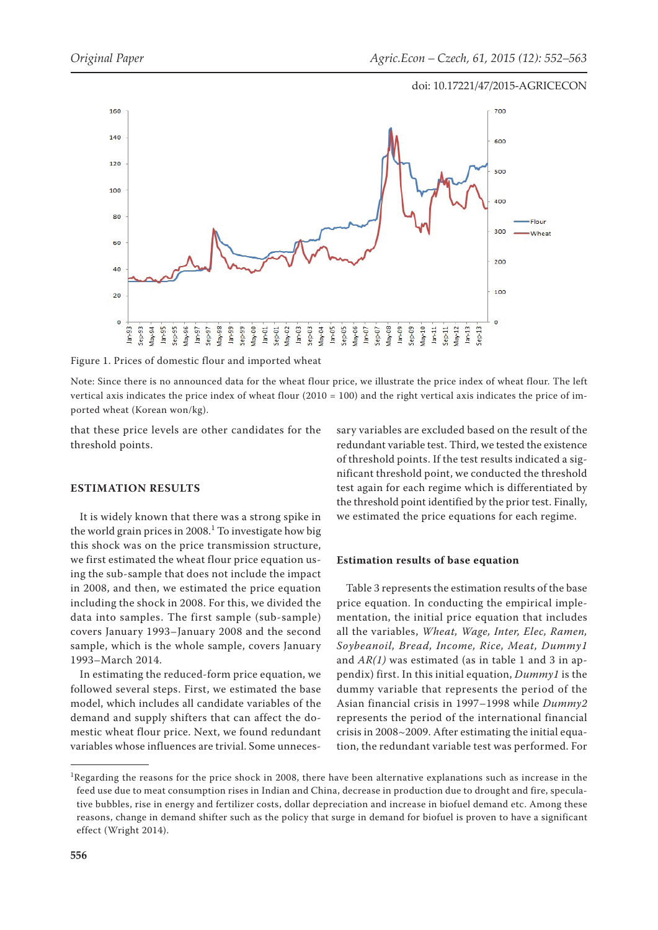

Figure 1. Prices of domestic flour and imported wheat

Note: Since there is no announced data for the wheat flour price, we illustrate the price index of wheat flour. The left vertical axis indicates the price index of wheat flour (2010 = 100) and the right vertical axis indicates the price of imported wheat (Korean won/kg).

that these price levels are other candidates for the threshold points.

## **ESTIMATION RESULTS**

It is widely known that there was a strong spike in the world grain prices in 2008.<sup>1</sup> To investigate how big this shock was on the price transmission structure, we first estimated the wheat flour price equation using the sub-sample that does not include the impact in 2008, and then, we estimated the price equation including the shock in 2008. For this, we divided the data into samples. The first sample (sub-sample) covers January 1993–January 2008 and the second sample, which is the whole sample, covers January 1993–March 2014.

In estimating the reduced-form price equation, we followed several steps. First, we estimated the base model, which includes all candidate variables of the demand and supply shifters that can affect the domestic wheat flour price. Next, we found redundant variables whose influences are trivial. Some unneces-

sary variables are excluded based on the result of the redundant variable test. Third, we tested the existence of threshold points. If the test results indicated a significant threshold point, we conducted the threshold test again for each regime which is differentiated by the threshold point identified by the prior test. Finally, we estimated the price equations for each regime.

## **Estimation results of base equation**

Table 3 represents the estimation results of the base price equation. In conducting the empirical implementation, the initial price equation that includes all the variables, *Wheat, Wage, Inter, Elec, Ramen, Soybeanoil, Bread, Income, Rice, Meat, Dummy1* and *AR(1)* was estimated (as in table 1 and 3 in appendix) first. In this initial equation, *Dummy1* is the dummy variable that represents the period of the Asian financial crisis in 1997–1998 while *Dummy2* represents the period of the international financial crisis in  $2008~2009$ . After estimating the initial equation, the redundant variable test was performed. For

<sup>&</sup>lt;sup>1</sup>Regarding the reasons for the price shock in 2008, there have been alternative explanations such as increase in the feed use due to meat consumption rises in Indian and China, decrease in production due to drought and fire, speculative bubbles, rise in energy and fertilizer costs, dollar depreciation and increase in biofuel demand etc. Among these reasons, change in demand shifter such as the policy that surge in demand for biofuel is proven to have a significant effect (Wright 2014).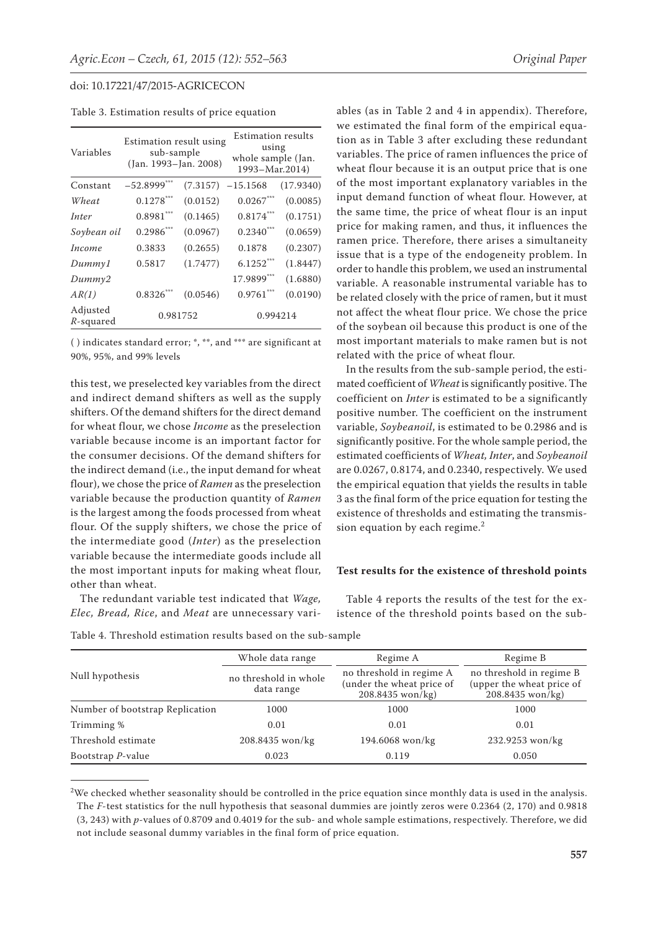| Variables             | Estimation result using<br>sub-sample<br>(Jan. 1993–Jan. 2008) |          | <b>Estimation results</b><br>using<br>whole sample (Jan.<br>1993-Mar.2014) |           |
|-----------------------|----------------------------------------------------------------|----------|----------------------------------------------------------------------------|-----------|
| Constant              | $-52.8999$ **                                                  | (7.3157) | $-15.1568$                                                                 | (17.9340) |
| Wheat                 | $0.1278***$                                                    | (0.0152) | $0.0267***$                                                                | (0.0085)  |
| Inter                 | $0.8981***$                                                    | (0.1465) | $0.8174***$                                                                | (0.1751)  |
| Soybean oil           | $0.2986^{***}$                                                 | (0.0967) | $0.2340***$                                                                | (0.0659)  |
| Income                | 0.3833                                                         | (0.2655) | 0.1878                                                                     | (0.2307)  |
| Dummy1                | 0.5817                                                         | (1.7477) | $6.1252***$                                                                | (1.8447)  |
| Dummy2                |                                                                |          | 17.9899***                                                                 | (1.6880)  |
| AR(1)                 | 0.8326                                                         | (0.0546) | $0.9761$ ***                                                               | (0.0190)  |
| Adjusted<br>R-squared | 0.981752                                                       |          | 0.994214                                                                   |           |

| Table 3. Estimation results of price equation |  |  |  |
|-----------------------------------------------|--|--|--|
|-----------------------------------------------|--|--|--|

( ) indicates standard error; \*, \*\*, and \*\*\* are significant at 90%, 95%, and 99% levels

this test, we preselected key variables from the direct and indirect demand shifters as well as the supply shifters. Of the demand shifters for the direct demand for wheat flour, we chose *Income* as the preselection variable because income is an important factor for the consumer decisions. Of the demand shifters for the indirect demand (i.e., the input demand for wheat flour), we chose the price of *Ramen* as the preselection variable because the production quantity of *Ramen* is the largest among the foods processed from wheat flour. Of the supply shifters, we chose the price of the intermediate good (*Inter*) as the preselection variable because the intermediate goods include all the most important inputs for making wheat flour, other than wheat.

The redundant variable test indicated that *Wage, Elec, Bread, Rice*, and *Meat* are unnecessary variables (as in Table 2 and 4 in appendix). Therefore, we estimated the final form of the empirical equation as in Table 3 after excluding these redundant variables. The price of ramen influences the price of wheat flour because it is an output price that is one of the most important explanatory variables in the input demand function of wheat flour. However, at the same time, the price of wheat flour is an input price for making ramen, and thus, it influences the ramen price. Therefore, there arises a simultaneity issue that is a type of the endogeneity problem. In order to handle this problem, we used an instrumental variable. A reasonable instrumental variable has to be related closely with the price of ramen, but it must not affect the wheat flour price. We chose the price of the soybean oil because this product is one of the most important materials to make ramen but is not related with the price of wheat flour.

In the results from the sub-sample period, the estimated coefficient of *Wheat* is significantly positive. The coefficient on *Inter* is estimated to be a significantly positive number. The coefficient on the instrument variable, *Soybeanoil*, is estimated to be 0.2986 and is significantly positive. For the whole sample period, the estimated coefficients of *Wheat, Inter*, and *Soybeanoil* are 0.0267, 0.8174, and 0.2340, respectively. We used the empirical equation that yields the results in table 3 as the final form of the price equation for testing the existence of thresholds and estimating the transmission equation by each regime.<sup>2</sup>

#### **Test results for the existence of threshold points**

Table 4 reports the results of the test for the existence of the threshold points based on the sub-

|                                 | Whole data range                    | Regime A                                                                    | Regime B<br>no threshold in regime B<br>(upper the wheat price of<br>$208.8435$ won/kg) |  |
|---------------------------------|-------------------------------------|-----------------------------------------------------------------------------|-----------------------------------------------------------------------------------------|--|
| Null hypothesis                 | no threshold in whole<br>data range | no threshold in regime A<br>(under the wheat price of<br>$208.8435$ won/kg) |                                                                                         |  |
| Number of bootstrap Replication | 1000                                |                                                                             | 1000                                                                                    |  |
| Trimming %                      | 0.01                                | 0.01                                                                        | 0.01                                                                                    |  |
| Threshold estimate              | 208.8435 won/kg                     | 194.6068 won/kg                                                             | 232.9253 won/kg                                                                         |  |
| Bootstrap P-value               | 0.023                               | 0.119                                                                       | 0.050                                                                                   |  |

Table 4. Threshold estimation results based on the sub-sample

 $2$ We checked whether seasonality should be controlled in the price equation since monthly data is used in the analysis. The *F*-test statistics for the null hypothesis that seasonal dummies are jointly zeros were 0.2364 (2, 170) and 0.9818 (3, 243) with *p*-values of 0.8709 and 0.4019 for the sub- and whole sample estimations, respectively. Therefore, we did not include seasonal dummy variables in the final form of price equation.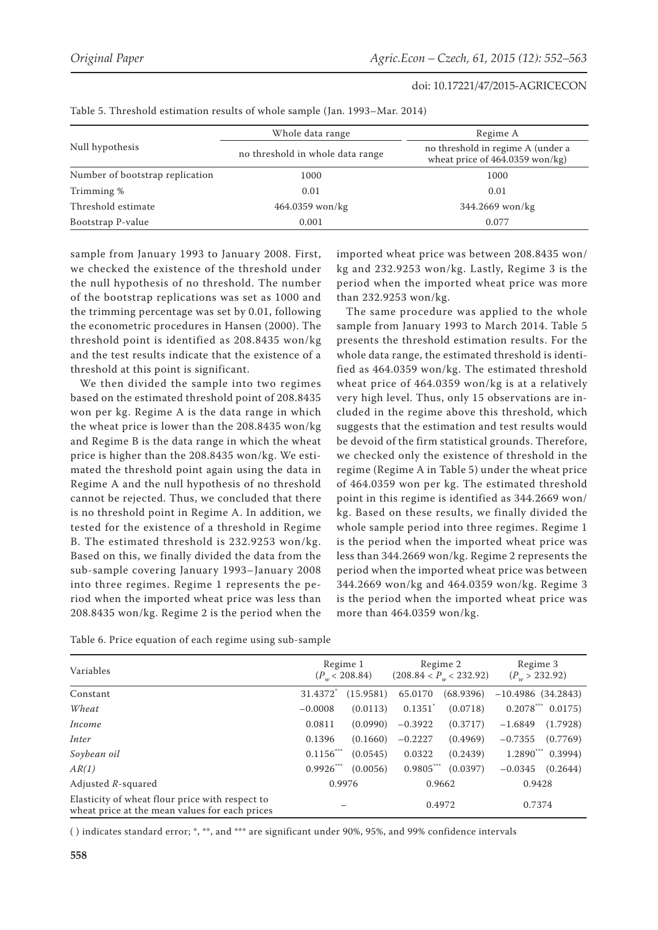|                                 | Whole data range                 | Regime A                                                             |  |
|---------------------------------|----------------------------------|----------------------------------------------------------------------|--|
| Null hypothesis                 | no threshold in whole data range | no threshold in regime A (under a<br>wheat price of 464.0359 won/kg) |  |
| Number of bootstrap replication | 1000                             | 1000                                                                 |  |
| Trimming %                      | 0.01                             | 0.01                                                                 |  |
| Threshold estimate              | 464.0359 won/kg                  | 344.2669 won/kg                                                      |  |
| Bootstrap P-value               | 0.001                            | 0.077                                                                |  |

Table 5. Threshold estimation results of whole sample (Jan. 1993–Mar. 2014)

sample from January 1993 to January 2008. First, we checked the existence of the threshold under the null hypothesis of no threshold. The number of the bootstrap replications was set as 1000 and the trimming percentage was set by 0.01, following the econometric procedures in Hansen (2000). The threshold point is identified as 208.8435 won/kg and the test results indicate that the existence of a threshold at this point is significant.

We then divided the sample into two regimes based on the estimated threshold point of 208.8435 won per kg. Regime A is the data range in which the wheat price is lower than the 208.8435 won/kg and Regime B is the data range in which the wheat price is higher than the 208.8435 won/kg. We estimated the threshold point again using the data in Regime A and the null hypothesis of no threshold cannot be rejected. Thus, we concluded that there is no threshold point in Regime A. In addition, we tested for the existence of a threshold in Regime B. The estimated threshold is 232.9253 won/kg. Based on this, we finally divided the data from the sub-sample covering January 1993–January 2008 into three regimes. Regime 1 represents the period when the imported wheat price was less than 208.8435 won/kg. Regime 2 is the period when the

Table 6. Price equation of each regime using sub-sample

imported wheat price was between 208.8435 won/ kg and 232.9253 won/kg. Lastly, Regime 3 is the period when the imported wheat price was more than 232.9253 won/kg.

The same procedure was applied to the whole sample from January 1993 to March 2014. Table 5 presents the threshold estimation results. For the whole data range, the estimated threshold is identified as 464.0359 won/kg. The estimated threshold wheat price of 464.0359 won/kg is at a relatively very high level. Thus, only 15 observations are included in the regime above this threshold, which suggests that the estimation and test results would be devoid of the firm statistical grounds. Therefore, we checked only the existence of threshold in the regime (Regime A in Table 5) under the wheat price of 464.0359 won per kg. The estimated threshold point in this regime is identified as 344.2669 won/ kg. Based on these results, we finally divided the whole sample period into three regimes. Regime 1 is the period when the imported wheat price was less than 344.2669 won/kg. Regime 2 represents the period when the imported wheat price was between 344.2669 won/kg and 464.0359 won/kg. Regime 3 is the period when the imported wheat price was more than 464.0359 won/kg.

| Variables                                                                                         |             | Regime 1<br>$(P_{w} < 208.84)$ |             | Regime 2<br>$(208.84 < P_w < 232.92)$ | Regime 3<br>$(P_w > 232.92)$ |          |
|---------------------------------------------------------------------------------------------------|-------------|--------------------------------|-------------|---------------------------------------|------------------------------|----------|
| Constant                                                                                          | 31.4372     | (15.9581)                      | 65.0170     | (68.9396)                             | $-10.4986$ (34.2843)         |          |
| Wheat                                                                                             | $-0.0008$   | (0.0113)                       | $0.1351^*$  | (0.0718)                              | $0.2078***$                  | 0.0175)  |
| Income                                                                                            | 0.0811      | (0.0990)                       | $-0.3922$   | (0.3717)                              | $-1.6849$                    | (1.7928) |
| Inter                                                                                             | 0.1396      | (0.1660)                       | $-0.2227$   | (0.4969)                              | $-0.7355$                    | (0.7769) |
| Soybean oil                                                                                       | $0.1156***$ | (0.0545)                       | 0.0322      | (0.2439)                              | $1.2890$ <sup>***</sup>      | 0.3994)  |
| AR(1)                                                                                             | $0.9926***$ | (0.0056)                       | $0.9805***$ | (0.0397)                              | $-0.0345$                    | (0.2644) |
| Adjusted R-squared                                                                                |             | 0.9976                         |             | 0.9662                                | 0.9428                       |          |
| Elasticity of wheat flour price with respect to<br>wheat price at the mean values for each prices |             |                                |             | 0.4972                                | 0.7374                       |          |

( ) indicates standard error; \*, \*\*, and \*\*\* are significant under 90%, 95%, and 99% confidence intervals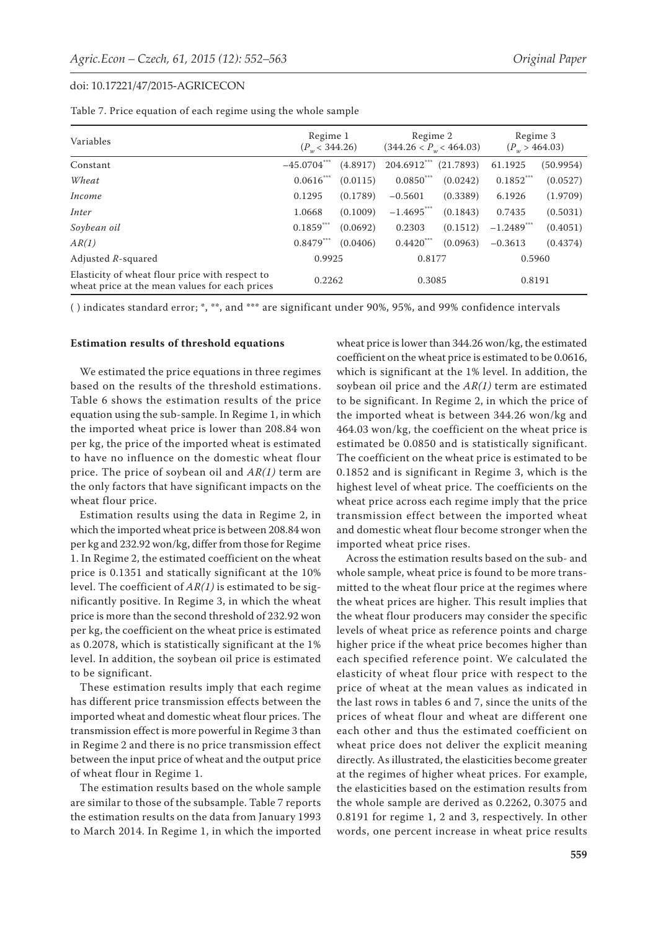| Variables                                                                                         | Regime 1<br>$(P_{\ldots} < 344.26)$ |          | Regime 2<br>$(344.26 < P_w < 464.03)$ |           | Regime 3<br>$(P_w > 464.03)$ |           |
|---------------------------------------------------------------------------------------------------|-------------------------------------|----------|---------------------------------------|-----------|------------------------------|-----------|
| Constant                                                                                          | $-45.0704$ <sup>*</sup>             | (4.8917) | 204.6912***                           | (21.7893) | 61.1925                      | (50.9954) |
| Wheat                                                                                             | $0.0616***$                         | (0.0115) | $0.0850***$                           | (0.0242)  | $0.1852***$                  | (0.0527)  |
| Income                                                                                            | 0.1295                              | (0.1789) | $-0.5601$                             | (0.3389)  | 6.1926                       | (1.9709)  |
| Inter                                                                                             | 1.0668                              | (0.1009) | $-1.4695***$                          | (0.1843)  | 0.7435                       | (0.5031)  |
| Soybean oil                                                                                       | $0.1859***$                         | (0.0692) | 0.2303                                | (0.1512)  | $-1.2489$ ***                | (0.4051)  |
| AR(1)                                                                                             | $0.8479***$                         | (0.0406) | $0.4420$ ***                          | (0.0963)  | $-0.3613$                    | (0.4374)  |
| Adjusted R-squared                                                                                | 0.9925                              |          | 0.8177                                |           | 0.5960                       |           |
| Elasticity of wheat flour price with respect to<br>wheat price at the mean values for each prices | 0.2262                              |          | 0.3085                                |           | 0.8191                       |           |

| Table 7. Price equation of each regime using the whole sample |  |  |  |
|---------------------------------------------------------------|--|--|--|
|---------------------------------------------------------------|--|--|--|

( ) indicates standard error; \*, \*\*, and \*\*\* are significant under 90%, 95%, and 99% confidence intervals

#### **Estimation results of threshold equations**

We estimated the price equations in three regimes based on the results of the threshold estimations. Table 6 shows the estimation results of the price equation using the sub-sample. In Regime 1, in which the imported wheat price is lower than 208.84 won per kg, the price of the imported wheat is estimated to have no influence on the domestic wheat flour price. The price of soybean oil and *AR(1)* term are the only factors that have significant impacts on the wheat flour price.

Estimation results using the data in Regime 2, in which the imported wheat price is between 208.84 won per kg and 232.92 won/kg, differ from those for Regime 1. In Regime 2, the estimated coefficient on the wheat price is 0.1351 and statically significant at the 10% level. The coefficient of *AR(1)* is estimated to be significantly positive. In Regime 3, in which the wheat price is more than the second threshold of 232.92 won per kg, the coefficient on the wheat price is estimated as 0.2078, which is statistically significant at the 1% level. In addition, the soybean oil price is estimated to be significant.

These estimation results imply that each regime has different price transmission effects between the imported wheat and domestic wheat flour prices. The transmission effect is more powerful in Regime 3 than in Regime 2 and there is no price transmission effect between the input price of wheat and the output price of wheat flour in Regime 1.

The estimation results based on the whole sample are similar to those of the subsample. Table 7 reports the estimation results on the data from January 1993 to March 2014. In Regime 1, in which the imported wheat price is lower than 344.26 won/kg, the estimated coefficient on the wheat price is estimated to be 0.0616, which is significant at the 1% level. In addition, the soybean oil price and the *AR(1)* term are estimated to be significant. In Regime 2, in which the price of the imported wheat is between 344.26 won/kg and 464.03 won/kg, the coefficient on the wheat price is estimated be 0.0850 and is statistically significant. The coefficient on the wheat price is estimated to be 0.1852 and is significant in Regime 3, which is the highest level of wheat price. The coefficients on the wheat price across each regime imply that the price transmission effect between the imported wheat and domestic wheat flour become stronger when the imported wheat price rises.

Across the estimation results based on the sub- and whole sample, wheat price is found to be more transmitted to the wheat flour price at the regimes where the wheat prices are higher. This result implies that the wheat flour producers may consider the specific levels of wheat price as reference points and charge higher price if the wheat price becomes higher than each specified reference point. We calculated the elasticity of wheat flour price with respect to the price of wheat at the mean values as indicated in the last rows in tables 6 and 7, since the units of the prices of wheat flour and wheat are different one each other and thus the estimated coefficient on wheat price does not deliver the explicit meaning directly. As illustrated, the elasticities become greater at the regimes of higher wheat prices. For example, the elasticities based on the estimation results from the whole sample are derived as 0.2262, 0.3075 and 0.8191 for regime 1, 2 and 3, respectively. In other words, one percent increase in wheat price results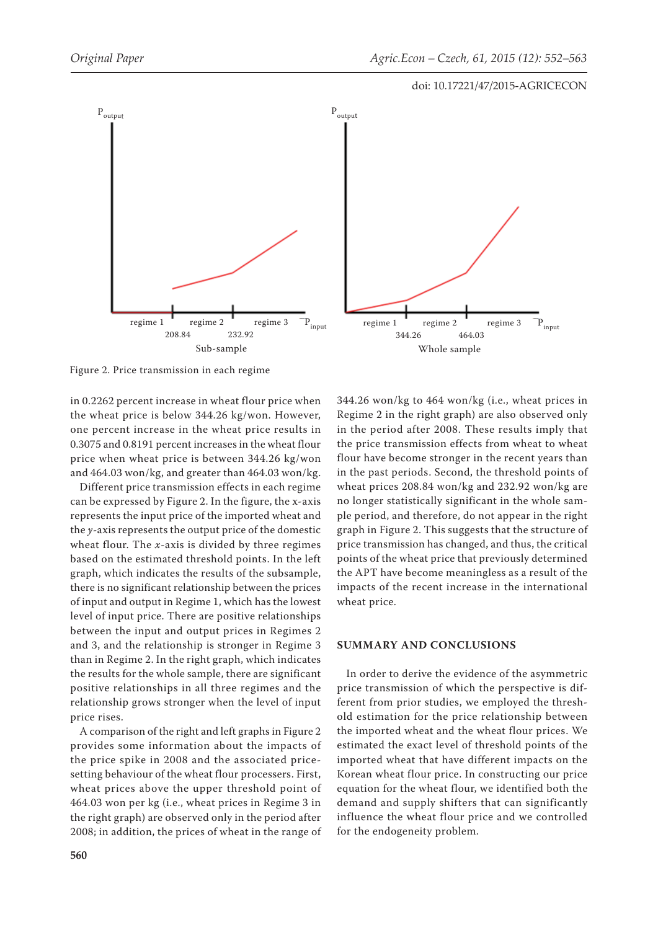

Figure 2. Price transmission in each regime

in 0.2262 percent increase in wheat flour price when the wheat price is below 344.26 kg/won. However, one percent increase in the wheat price results in 0.3075 and 0.8191 percent increases in the wheat flour price when wheat price is between 344.26 kg/won and 464.03 won/kg, and greater than 464.03 won/kg.

Different price transmission effects in each regime can be expressed by Figure 2. In the figure, the x-axis represents the input price of the imported wheat and the *y*-axis represents the output price of the domestic wheat flour. The *x*-axis is divided by three regimes based on the estimated threshold points. In the left graph, which indicates the results of the subsample, there is no significant relationship between the prices of input and output in Regime 1, which has the lowest level of input price. There are positive relationships between the input and output prices in Regimes 2 and 3, and the relationship is stronger in Regime 3 than in Regime 2. In the right graph, which indicates the results for the whole sample, there are significant positive relationships in all three regimes and the relationship grows stronger when the level of input price rises.

A comparison of the right and left graphs in Figure 2 provides some information about the impacts of the price spike in 2008 and the associated pricesetting behaviour of the wheat flour processers. First, wheat prices above the upper threshold point of 464.03 won per kg (i.e., wheat prices in Regime 3 in the right graph) are observed only in the period after 2008; in addition, the prices of wheat in the range of 344.26 won/kg to 464 won/kg (i.e., wheat prices in Regime 2 in the right graph) are also observed only in the period after 2008. These results imply that the price transmission effects from wheat to wheat flour have become stronger in the recent years than in the past periods. Second, the threshold points of wheat prices 208.84 won/kg and 232.92 won/kg are no longer statistically significant in the whole sample period, and therefore, do not appear in the right graph in Figure 2. This suggests that the structure of price transmission has changed, and thus, the critical points of the wheat price that previously determined the APT have become meaningless as a result of the impacts of the recent increase in the international wheat price.

# **SUMMARY AND CONCLUSIONS**

In order to derive the evidence of the asymmetric price transmission of which the perspective is different from prior studies, we employed the threshold estimation for the price relationship between the imported wheat and the wheat flour prices. We estimated the exact level of threshold points of the imported wheat that have different impacts on the Korean wheat flour price. In constructing our price equation for the wheat flour, we identified both the demand and supply shifters that can significantly influence the wheat flour price and we controlled for the endogeneity problem.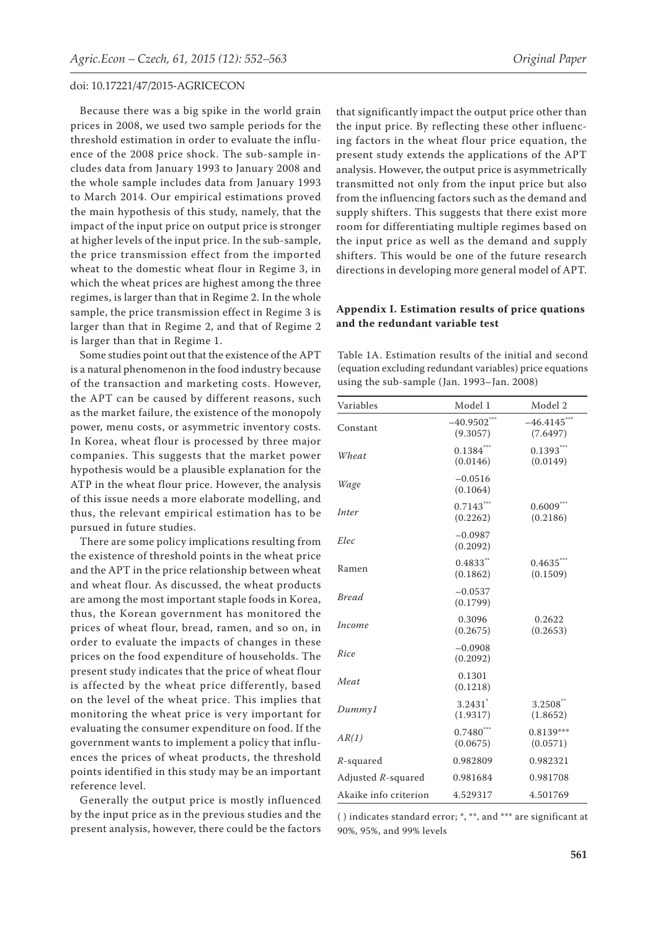Because there was a big spike in the world grain prices in 2008, we used two sample periods for the threshold estimation in order to evaluate the influence of the 2008 price shock. The sub-sample includes data from January 1993 to January 2008 and the whole sample includes data from January 1993 to March 2014. Our empirical estimations proved the main hypothesis of this study, namely, that the impact of the input price on output price is stronger at higher levels of the input price. In the sub-sample, the price transmission effect from the imported wheat to the domestic wheat flour in Regime 3, in which the wheat prices are highest among the three regimes, is larger than that in Regime 2. In the whole sample, the price transmission effect in Regime 3 is larger than that in Regime 2, and that of Regime 2 is larger than that in Regime 1.

Some studies point out that the existence of the APT is a natural phenomenon in the food industry because of the transaction and marketing costs. However, the APT can be caused by different reasons, such as the market failure, the existence of the monopoly power, menu costs, or asymmetric inventory costs. In Korea, wheat flour is processed by three major companies. This suggests that the market power hypothesis would be a plausible explanation for the ATP in the wheat flour price. However, the analysis of this issue needs a more elaborate modelling, and thus, the relevant empirical estimation has to be pursued in future studies.

There are some policy implications resulting from the existence of threshold points in the wheat price and the APT in the price relationship between wheat and wheat flour. As discussed, the wheat products are among the most important staple foods in Korea, thus, the Korean government has monitored the prices of wheat flour, bread, ramen, and so on, in order to evaluate the impacts of changes in these prices on the food expenditure of households. The present study indicates that the price of wheat flour is affected by the wheat price differently, based on the level of the wheat price. This implies that monitoring the wheat price is very important for evaluating the consumer expenditure on food. If the government wants to implement a policy that influences the prices of wheat products, the threshold points identified in this study may be an important reference level.

Generally the output price is mostly influenced by the input price as in the previous studies and the present analysis, however, there could be the factors that significantly impact the output price other than the input price. By reflecting these other influencing factors in the wheat flour price equation, the present study extends the applications of the APT analysis. However, the output price is asymmetrically transmitted not only from the input price but also from the influencing factors such as the demand and supply shifters. This suggests that there exist more room for differentiating multiple regimes based on the input price as well as the demand and supply shifters. This would be one of the future research directions in developing more general model of APT.

# **Appendix I. Estimation results of price quations and the redundant variable test**

| Table 1A. Estimation results of the initial and second   |
|----------------------------------------------------------|
| (equation excluding redundant variables) price equations |
| using the sub-sample (Jan. 1993–Jan. 2008)               |

| Variables             | Model 1                    | Model 2                   |
|-----------------------|----------------------------|---------------------------|
| Constant              | $-40.9502$ ***<br>(9.3057) | $-46.4145***$<br>(7.6497) |
| Wheat                 | $0.1384***$<br>(0.0146)    | $0.1393***$<br>(0.0149)   |
| Wage                  | $-0.0516$<br>(0.1064)      |                           |
| Inter                 | $0.7143***$<br>(0.2262)    | $0.6009***$<br>(0.2186)   |
| Elec                  | $-0.0987$<br>(0.2092)      |                           |
| Ramen                 | 0.4833**<br>(0.1862)       | 0.4635<br>(0.1509)        |
| Bread                 | $-0.0537$<br>(0.1799)      |                           |
| Income                | 0.3096<br>(0.2675)         | 0.2622<br>(0.2653)        |
| Rice                  | $-0.0908$<br>(0.2092)      |                           |
| Meat                  | 0.1301<br>(0.1218)         |                           |
| Dummy1                | 3.2431<br>(1.9317)         | 3.2508<br>(1.8652)        |
| AR(1)                 | $0.7480$ ***<br>(0.0675)   | $0.8139***$<br>(0.0571)   |
| <i>R</i> -squared     | 0.982809                   | 0.982321                  |
| Adjusted R-squared    | 0.981684                   | 0.981708                  |
| Akaike info criterion | 4.529317                   | 4.501769                  |

( ) indicates standard error; \*, \*\*, and \*\*\* are significant at 90%, 95%, and 99% levels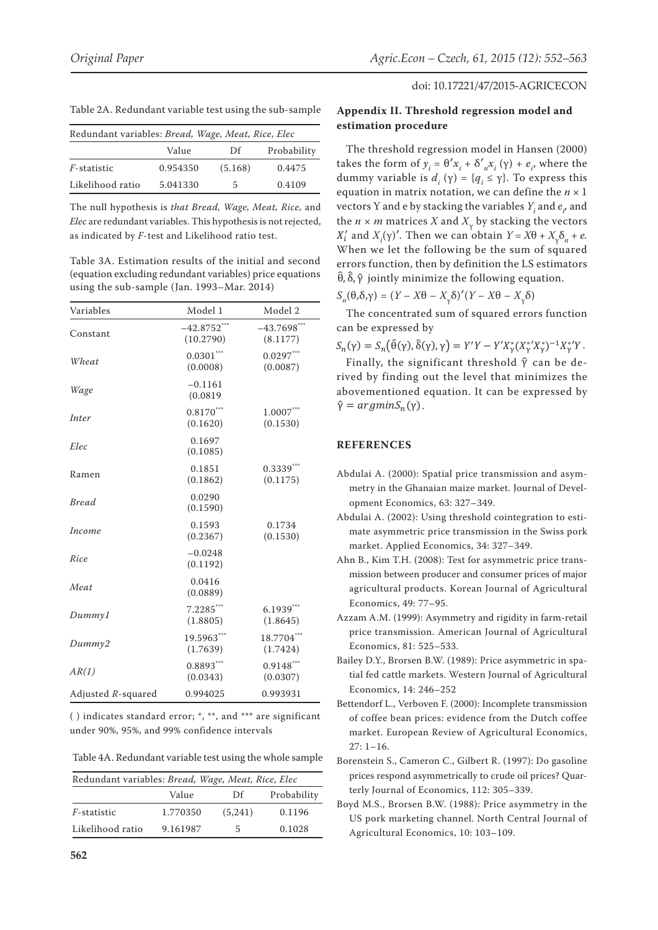| Table 2A. Redundant variable test using the sub-sample |  |  |
|--------------------------------------------------------|--|--|
|--------------------------------------------------------|--|--|

| Redundant variables: Bread, Wage, Meat, Rice, Elec |          |         |             |
|----------------------------------------------------|----------|---------|-------------|
|                                                    | Value    | Df      | Probability |
| <i>F</i> -statistic                                | 0.954350 | (5.168) | 0.4475      |
| Likelihood ratio                                   | 5.041330 | 5       | 0.4109      |

The null hypothesis is *that Bread, Wage, Meat, Rice,* and *Elec* are redundant variables. This hypothesis is not rejected, as indicated by *F*-test and Likelihood ratio test.

Table 3A. Estimation results of the initial and second (equation excluding redundant variables) price equations using the sub-sample (Jan. 1993–Mar. 2014)

| Variables          | Model 1                    | Model 2                    |
|--------------------|----------------------------|----------------------------|
| Constant           | $-42.8752***$<br>(10.2790) | $-43.7698$ ***<br>(8.1177) |
| Wheat              | $0.0301***$<br>(0.0008)    | $0.0297***$<br>(0.0087)    |
| Wage               | $-0.1161$<br>(0.0819)      |                            |
| Inter              | $0.8170***$<br>(0.1620)    | $1.0007***$<br>(0.1530)    |
| Elec               | 0.1697<br>(0.1085)         |                            |
| Ramen              | 0.1851<br>(0.1862)         | 0.3339***<br>(0.1175)      |
| <b>Bread</b>       | 0.0290<br>(0.1590)         |                            |
| Income             | 0.1593<br>(0.2367)         | 0.1734<br>(0.1530)         |
| Rice               | $-0.0248$<br>(0.1192)      |                            |
| Meat               | 0.0416<br>(0.0889)         |                            |
| Dummy1             | $7.2285$ ***<br>(1.8805)   | 6.1939***<br>(1.8645)      |
| Dummy2             | 19.5963***<br>(1.7639)     | 18.7704***<br>(1.7424)     |
| AR(1)              | $0.8893***$<br>(0.0343)    | $0.9148***$<br>(0.0307)    |
| Adjusted R-squared | 0.994025                   | 0.993931                   |

( ) indicates standard error; \*, \*\*, and \*\*\* are significant under 90%, 95%, and 99% confidence intervals

| Table 4A. Redundant variable test using the whole sample |  |
|----------------------------------------------------------|--|
|----------------------------------------------------------|--|

| Redundant variables: Bread, Wage, Meat, Rice, Elec |          |         |             |
|----------------------------------------------------|----------|---------|-------------|
|                                                    | Value    | Df      | Probability |
| <i>F</i> -statistic                                | 1.770350 | (5,241) | 0.1196      |
| Likelihood ratio                                   | 9.161987 | 5       | 0.1028      |

## doi: 10.17221/47/2015-AGRICECON

# **Appendix II. Threshold regression model and estimation procedure**

The threshold regression model in Hansen (2000) takes the form of  $y_i = \theta' x_i + \delta'_{n} x_i (\gamma) + e_i$ , where the dummy variable is  $d_i(\gamma) = \{q_i \leq \gamma\}$ . To express this equation in matrix notation, we can define the  $n \times 1$ vectors Y and e by stacking the variables  $Y_i$  and  $e_i$  and the  $n \times m$  matrices  $X$  and  $X$ <sub>γ</sub> by stacking the vectors *X*<sup>*l*</sup> and *X*<sub>*i*</sub>(γ)<sup>*'*</sup>. Then we can obtain *Y* = *X*θ + *X*<sub>γ</sub>δ<sub>*n*</sub> + *e.* When we let the following be the sum of squared errors function, then by definition the LS estimators  $\hat{\theta}$ ,  $\hat{\delta}$ ,  $\hat{\gamma}$  jointly minimize the following equation.

*S<sub>n</sub>*(θ,δ,γ) =  $(Y - X\theta - X_{\gamma}\delta)'(Y - X\theta - X_{\gamma}\delta)$ 

The concentrated sum of squared errors function can be expressed by

 $S_n(\gamma) = S_n(\hat{\theta}(\gamma), \hat{\delta}(\gamma), \gamma) = Y'Y - Y'X_{\gamma}^*(X_{\gamma}^{*'}X_{\gamma}^{*})^{-1}X_{\gamma}^{*'}Y.$ 

Finally, the significant threshold  $\hat{\gamma}$  can be derived by finding out the level that minimizes the abovementioned equation. It can be expressed by  $\hat{\gamma} = argmin S_n(\gamma)$ .

# **REFERENCES**

- Abdulai A. (2000): Spatial price transmission and asymmetry in the Ghanaian maize market. Journal of Development Economics, 63: 327–349.
- Abdulai A. (2002): Using threshold cointegration to estimate asymmetric price transmission in the Swiss pork market. Applied Economics, 34: 327–349.
- Ahn B., Kim T.H. (2008): Test for asymmetric price transmission between producer and consumer prices of major agricultural products. Korean Journal of Agricultural Economics, 49: 77–95.
- Azzam A.M. (1999): Asymmetry and rigidity in farm-retail price transmission. American Journal of Agricultural Economics, 81: 525–533.
- Bailey D.Y., Brorsen B.W. (1989): Price asymmetric in spatial fed cattle markets. Western Journal of Agricultural Economics, 14: 246–252
- Bettendorf L., Verboven F. (2000): Incomplete transmission of coffee bean prices: evidence from the Dutch coffee market. European Review of Agricultural Economics, 27: 1–16.
- Borenstein S., Cameron C., Gilbert R. (1997): Do gasoline prices respond asymmetrically to crude oil prices? Quarterly Journal of Economics, 112: 305–339.
- Boyd M.S., Brorsen B.W. (1988): Price asymmetry in the US pork marketing channel. North Central Journal of Agricultural Economics, 10: 103–109.